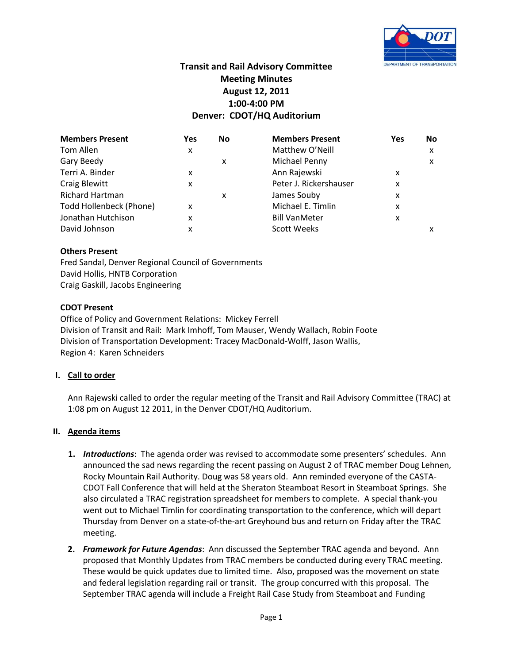

# **Transit and Rail Advisory Committee Meeting Minutes August 12, 2011 1:00-4:00 PM Denver: CDOT/HQ Auditorium**

| <b>Members Present</b>  | Yes | No | <b>Members Present</b> | <b>Yes</b> | <b>No</b> |
|-------------------------|-----|----|------------------------|------------|-----------|
| Tom Allen               | x   |    | Matthew O'Neill        |            | x         |
| Gary Beedy              |     | x  | Michael Penny          |            | x         |
| Terri A. Binder         | x   |    | Ann Rajewski           | x          |           |
| <b>Craig Blewitt</b>    | x   |    | Peter J. Rickershauser | x          |           |
| <b>Richard Hartman</b>  |     | x  | James Souby            | x          |           |
| Todd Hollenbeck (Phone) | x   |    | Michael E. Timlin      | x          |           |
| Jonathan Hutchison      | x   |    | <b>Bill VanMeter</b>   | x          |           |
| David Johnson           | x   |    | <b>Scott Weeks</b>     |            |           |

### **Others Present**

Fred Sandal, Denver Regional Council of Governments David Hollis, HNTB Corporation Craig Gaskill, Jacobs Engineering

### **CDOT Present**

Office of Policy and Government Relations: Mickey Ferrell Division of Transit and Rail: Mark Imhoff, Tom Mauser, Wendy Wallach, Robin Foote Division of Transportation Development: Tracey MacDonald-Wolff, Jason Wallis, Region 4: Karen Schneiders

### **I. Call to order**

Ann Rajewski called to order the regular meeting of the Transit and Rail Advisory Committee (TRAC) at 1:08 pm on August 12 2011, in the Denver CDOT/HQ Auditorium.

### **II. Agenda items**

- **1.** *Introductions*: The agenda order was revised to accommodate some presenters' schedules. Ann announced the sad news regarding the recent passing on August 2 of TRAC member Doug Lehnen, Rocky Mountain Rail Authority. Doug was 58 years old. Ann reminded everyone of the CASTA-CDOT Fall Conference that will held at the Sheraton Steamboat Resort in Steamboat Springs. She also circulated a TRAC registration spreadsheet for members to complete. A special thank-you went out to Michael Timlin for coordinating transportation to the conference, which will depart Thursday from Denver on a state-of-the-art Greyhound bus and return on Friday after the TRAC meeting.
- **2.** *Framework for Future Agendas*: Ann discussed the September TRAC agenda and beyond. Ann proposed that Monthly Updates from TRAC members be conducted during every TRAC meeting. These would be quick updates due to limited time. Also, proposed was the movement on state and federal legislation regarding rail or transit. The group concurred with this proposal. The September TRAC agenda will include a Freight Rail Case Study from Steamboat and Funding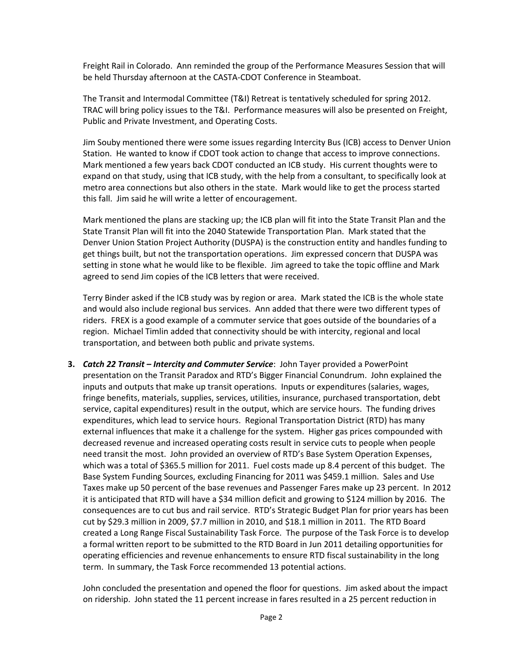Freight Rail in Colorado. Ann reminded the group of the Performance Measures Session that will be held Thursday afternoon at the CASTA-CDOT Conference in Steamboat.

The Transit and Intermodal Committee (T&I) Retreat is tentatively scheduled for spring 2012. TRAC will bring policy issues to the T&I. Performance measures will also be presented on Freight, Public and Private Investment, and Operating Costs.

Jim Souby mentioned there were some issues regarding Intercity Bus (ICB) access to Denver Union Station. He wanted to know if CDOT took action to change that access to improve connections. Mark mentioned a few years back CDOT conducted an ICB study. His current thoughts were to expand on that study, using that ICB study, with the help from a consultant, to specifically look at metro area connections but also others in the state. Mark would like to get the process started this fall. Jim said he will write a letter of encouragement.

Mark mentioned the plans are stacking up; the ICB plan will fit into the State Transit Plan and the State Transit Plan will fit into the 2040 Statewide Transportation Plan. Mark stated that the Denver Union Station Project Authority (DUSPA) is the construction entity and handles funding to get things built, but not the transportation operations. Jim expressed concern that DUSPA was setting in stone what he would like to be flexible. Jim agreed to take the topic offline and Mark agreed to send Jim copies of the ICB letters that were received.

Terry Binder asked if the ICB study was by region or area. Mark stated the ICB is the whole state and would also include regional bus services. Ann added that there were two different types of riders. FREX is a good example of a commuter service that goes outside of the boundaries of a region. Michael Timlin added that connectivity should be with intercity, regional and local transportation, and between both public and private systems.

**3.** *Catch 22 Transit – Intercity and Commuter Service*: John Tayer provided a PowerPoint presentation on the Transit Paradox and RTD's Bigger Financial Conundrum. John explained the inputs and outputs that make up transit operations. Inputs or expenditures (salaries, wages, fringe benefits, materials, supplies, services, utilities, insurance, purchased transportation, debt service, capital expenditures) result in the output, which are service hours. The funding drives expenditures, which lead to service hours. Regional Transportation District (RTD) has many external influences that make it a challenge for the system. Higher gas prices compounded with decreased revenue and increased operating costs result in service cuts to people when people need transit the most. John provided an overview of RTD's Base System Operation Expenses, which was a total of \$365.5 million for 2011. Fuel costs made up 8.4 percent of this budget. The Base System Funding Sources, excluding Financing for 2011 was \$459.1 million. Sales and Use Taxes make up 50 percent of the base revenues and Passenger Fares make up 23 percent. In 2012 it is anticipated that RTD will have a \$34 million deficit and growing to \$124 million by 2016. The consequences are to cut bus and rail service. RTD's Strategic Budget Plan for prior years has been cut by \$29.3 million in 2009, \$7.7 million in 2010, and \$18.1 million in 2011. The RTD Board created a Long Range Fiscal Sustainability Task Force. The purpose of the Task Force is to develop a formal written report to be submitted to the RTD Board in Jun 2011 detailing opportunities for operating efficiencies and revenue enhancements to ensure RTD fiscal sustainability in the long term. In summary, the Task Force recommended 13 potential actions.

John concluded the presentation and opened the floor for questions. Jim asked about the impact on ridership. John stated the 11 percent increase in fares resulted in a 25 percent reduction in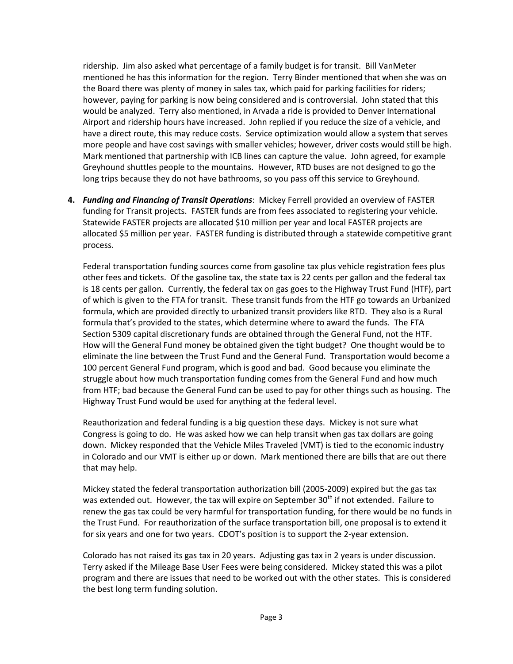ridership. Jim also asked what percentage of a family budget is for transit. Bill VanMeter mentioned he has this information for the region. Terry Binder mentioned that when she was on the Board there was plenty of money in sales tax, which paid for parking facilities for riders; however, paying for parking is now being considered and is controversial. John stated that this would be analyzed. Terry also mentioned, in Arvada a ride is provided to Denver International Airport and ridership hours have increased. John replied if you reduce the size of a vehicle, and have a direct route, this may reduce costs. Service optimization would allow a system that serves more people and have cost savings with smaller vehicles; however, driver costs would still be high. Mark mentioned that partnership with ICB lines can capture the value. John agreed, for example Greyhound shuttles people to the mountains. However, RTD buses are not designed to go the long trips because they do not have bathrooms, so you pass off this service to Greyhound.

**4.** *Funding and Financing of Transit Operations*: Mickey Ferrell provided an overview of FASTER funding for Transit projects. FASTER funds are from fees associated to registering your vehicle. Statewide FASTER projects are allocated \$10 million per year and local FASTER projects are allocated \$5 million per year. FASTER funding is distributed through a statewide competitive grant process.

Federal transportation funding sources come from gasoline tax plus vehicle registration fees plus other fees and tickets. Of the gasoline tax, the state tax is 22 cents per gallon and the federal tax is 18 cents per gallon. Currently, the federal tax on gas goes to the Highway Trust Fund (HTF), part of which is given to the FTA for transit. These transit funds from the HTF go towards an Urbanized formula, which are provided directly to urbanized transit providers like RTD. They also is a Rural formula that's provided to the states, which determine where to award the funds. The FTA Section 5309 capital discretionary funds are obtained through the General Fund, not the HTF. How will the General Fund money be obtained given the tight budget? One thought would be to eliminate the line between the Trust Fund and the General Fund. Transportation would become a 100 percent General Fund program, which is good and bad. Good because you eliminate the struggle about how much transportation funding comes from the General Fund and how much from HTF; bad because the General Fund can be used to pay for other things such as housing. The Highway Trust Fund would be used for anything at the federal level.

Reauthorization and federal funding is a big question these days. Mickey is not sure what Congress is going to do. He was asked how we can help transit when gas tax dollars are going down. Mickey responded that the Vehicle Miles Traveled (VMT) is tied to the economic industry in Colorado and our VMT is either up or down. Mark mentioned there are bills that are out there that may help.

Mickey stated the federal transportation authorization bill (2005-2009) expired but the gas tax was extended out. However, the tax will expire on September 30<sup>th</sup> if not extended. Failure to renew the gas tax could be very harmful for transportation funding, for there would be no funds in the Trust Fund. For reauthorization of the surface transportation bill, one proposal is to extend it for six years and one for two years. CDOT's position is to support the 2-year extension.

Colorado has not raised its gas tax in 20 years. Adjusting gas tax in 2 years is under discussion. Terry asked if the Mileage Base User Fees were being considered. Mickey stated this was a pilot program and there are issues that need to be worked out with the other states. This is considered the best long term funding solution.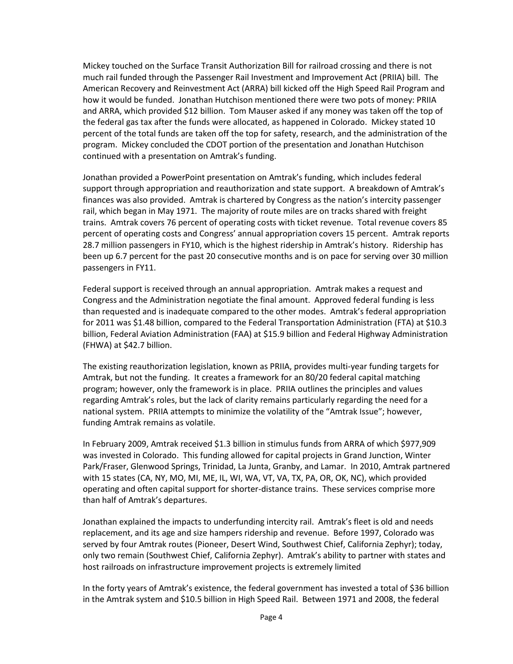Mickey touched on the Surface Transit Authorization Bill for railroad crossing and there is not much rail funded through the Passenger Rail Investment and Improvement Act (PRIIA) bill. The American Recovery and Reinvestment Act (ARRA) bill kicked off the High Speed Rail Program and how it would be funded. Jonathan Hutchison mentioned there were two pots of money: PRIIA and ARRA, which provided \$12 billion. Tom Mauser asked if any money was taken off the top of the federal gas tax after the funds were allocated, as happened in Colorado. Mickey stated 10 percent of the total funds are taken off the top for safety, research, and the administration of the program. Mickey concluded the CDOT portion of the presentation and Jonathan Hutchison continued with a presentation on Amtrak's funding.

Jonathan provided a PowerPoint presentation on Amtrak's funding, which includes federal support through appropriation and reauthorization and state support. A breakdown of Amtrak's finances was also provided. Amtrak is chartered by Congress as the nation's intercity passenger rail, which began in May 1971. The majority of route miles are on tracks shared with freight trains. Amtrak covers 76 percent of operating costs with ticket revenue. Total revenue covers 85 percent of operating costs and Congress' annual appropriation covers 15 percent. Amtrak reports 28.7 million passengers in FY10, which is the highest ridership in Amtrak's history. Ridership has been up 6.7 percent for the past 20 consecutive months and is on pace for serving over 30 million passengers in FY11.

Federal support is received through an annual appropriation. Amtrak makes a request and Congress and the Administration negotiate the final amount. Approved federal funding is less than requested and is inadequate compared to the other modes. Amtrak's federal appropriation for 2011 was \$1.48 billion, compared to the Federal Transportation Administration (FTA) at \$10.3 billion, Federal Aviation Administration (FAA) at \$15.9 billion and Federal Highway Administration (FHWA) at \$42.7 billion.

The existing reauthorization legislation, known as PRIIA, provides multi-year funding targets for Amtrak, but not the funding. It creates a framework for an 80/20 federal capital matching program; however, only the framework is in place. PRIIA outlines the principles and values regarding Amtrak's roles, but the lack of clarity remains particularly regarding the need for a national system. PRIIA attempts to minimize the volatility of the "Amtrak Issue"; however, funding Amtrak remains as volatile.

In February 2009, Amtrak received \$1.3 billion in stimulus funds from ARRA of which \$977,909 was invested in Colorado. This funding allowed for capital projects in Grand Junction, Winter Park/Fraser, Glenwood Springs, Trinidad, La Junta, Granby, and Lamar. In 2010, Amtrak partnered with 15 states (CA, NY, MO, MI, ME, IL, WI, WA, VT, VA, TX, PA, OR, OK, NC), which provided operating and often capital support for shorter-distance trains. These services comprise more than half of Amtrak's departures.

Jonathan explained the impacts to underfunding intercity rail. Amtrak's fleet is old and needs replacement, and its age and size hampers ridership and revenue. Before 1997, Colorado was served by four Amtrak routes (Pioneer, Desert Wind, Southwest Chief, California Zephyr); today, only two remain (Southwest Chief, California Zephyr). Amtrak's ability to partner with states and host railroads on infrastructure improvement projects is extremely limited

In the forty years of Amtrak's existence, the federal government has invested a total of \$36 billion in the Amtrak system and \$10.5 billion in High Speed Rail. Between 1971 and 2008, the federal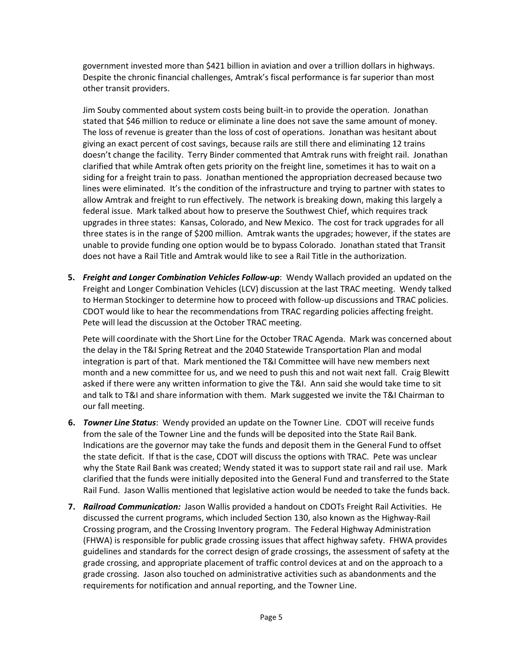government invested more than \$421 billion in aviation and over a trillion dollars in highways. Despite the chronic financial challenges, Amtrak's fiscal performance is far superior than most other transit providers.

Jim Souby commented about system costs being built-in to provide the operation. Jonathan stated that \$46 million to reduce or eliminate a line does not save the same amount of money. The loss of revenue is greater than the loss of cost of operations. Jonathan was hesitant about giving an exact percent of cost savings, because rails are still there and eliminating 12 trains doesn't change the facility. Terry Binder commented that Amtrak runs with freight rail. Jonathan clarified that while Amtrak often gets priority on the freight line, sometimes it has to wait on a siding for a freight train to pass. Jonathan mentioned the appropriation decreased because two lines were eliminated. It's the condition of the infrastructure and trying to partner with states to allow Amtrak and freight to run effectively. The network is breaking down, making this largely a federal issue. Mark talked about how to preserve the Southwest Chief, which requires track upgrades in three states: Kansas, Colorado, and New Mexico. The cost for track upgrades for all three states is in the range of \$200 million. Amtrak wants the upgrades; however, if the states are unable to provide funding one option would be to bypass Colorado. Jonathan stated that Transit does not have a Rail Title and Amtrak would like to see a Rail Title in the authorization.

**5.** *Freight and Longer Combination Vehicles Follow-up*: Wendy Wallach provided an updated on the Freight and Longer Combination Vehicles (LCV) discussion at the last TRAC meeting. Wendy talked to Herman Stockinger to determine how to proceed with follow-up discussions and TRAC policies. CDOT would like to hear the recommendations from TRAC regarding policies affecting freight. Pete will lead the discussion at the October TRAC meeting.

Pete will coordinate with the Short Line for the October TRAC Agenda. Mark was concerned about the delay in the T&I Spring Retreat and the 2040 Statewide Transportation Plan and modal integration is part of that. Mark mentioned the T&I Committee will have new members next month and a new committee for us, and we need to push this and not wait next fall. Craig Blewitt asked if there were any written information to give the T&I. Ann said she would take time to sit and talk to T&I and share information with them. Mark suggested we invite the T&I Chairman to our fall meeting.

- **6.** *Towner Line Status*:Wendy provided an update on the Towner Line. CDOT will receive funds from the sale of the Towner Line and the funds will be deposited into the State Rail Bank. Indications are the governor may take the funds and deposit them in the General Fund to offset the state deficit. If that is the case, CDOT will discuss the options with TRAC. Pete was unclear why the State Rail Bank was created; Wendy stated it was to support state rail and rail use. Mark clarified that the funds were initially deposited into the General Fund and transferred to the State Rail Fund. Jason Wallis mentioned that legislative action would be needed to take the funds back.
- **7.** *Railroad Communication:* Jason Wallis provided a handout on CDOTs Freight Rail Activities. He discussed the current programs, which included Section 130, also known as the Highway-Rail Crossing program, and the Crossing Inventory program. The Federal Highway Administration (FHWA) is responsible for public grade crossing issues that affect highway safety. FHWA provides guidelines and standards for the correct design of grade crossings, the assessment of safety at the grade crossing, and appropriate placement of traffic control devices at and on the approach to a grade crossing. Jason also touched on administrative activities such as abandonments and the requirements for notification and annual reporting, and the Towner Line.